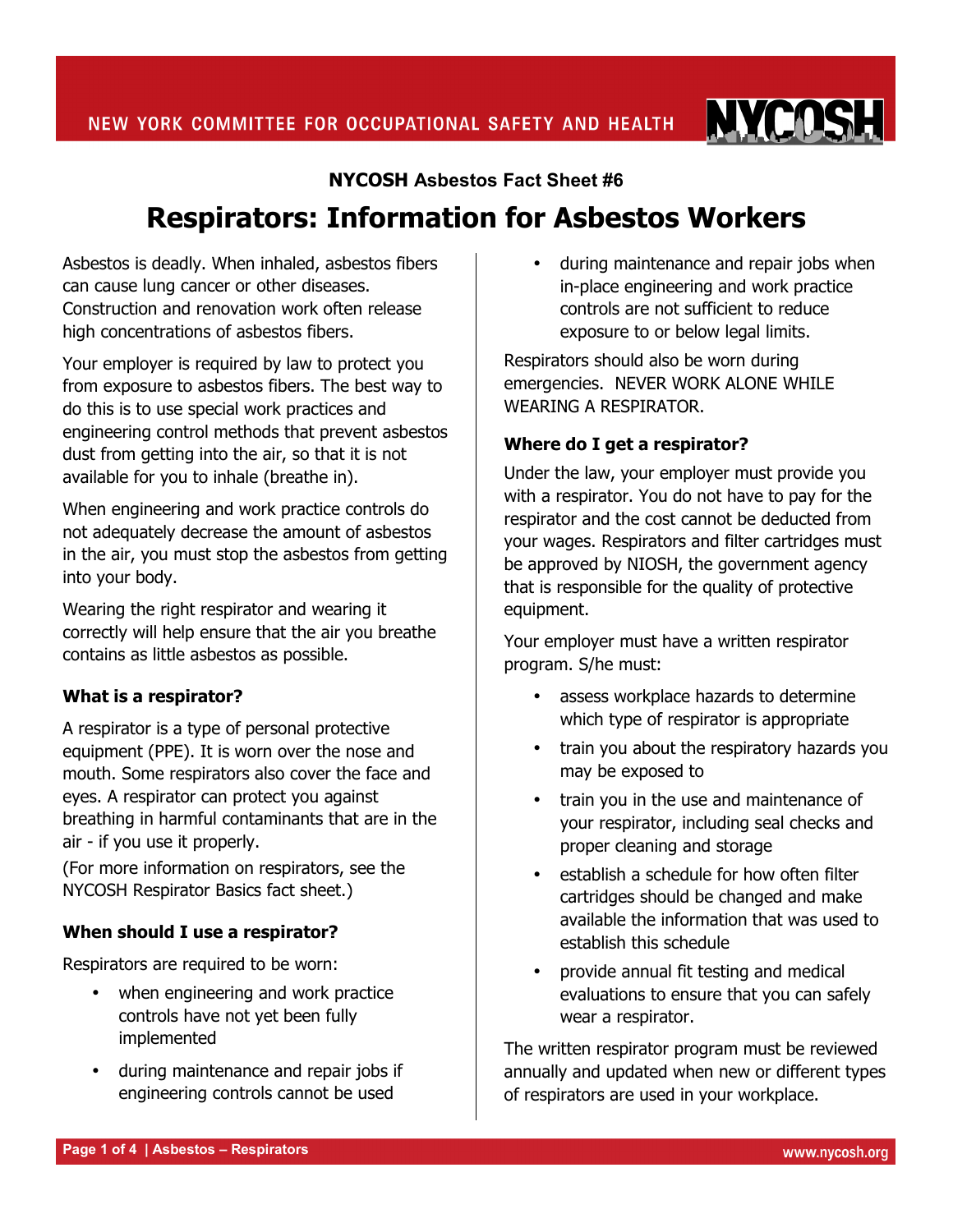**NYCOSH** 

**NYCOSH Asbestos Fact Sheet #6** 

# **Respirators: Information for Asbestos Workers**

Asbestos is deadly. When inhaled, asbestos fibers can cause lung cancer or other diseases. Construction and renovation work often release high concentrations of asbestos fibers.

Your employer is required by law to protect you from exposure to asbestos fibers. The best way to do this is to use special work practices and engineering control methods that prevent asbestos dust from getting into the air, so that it is not available for you to inhale (breathe in).

When engineering and work practice controls do not adequately decrease the amount of asbestos in the air, you must stop the asbestos from getting into your body.

Wearing the right respirator and wearing it correctly will help ensure that the air you breathe contains as little asbestos as possible.

## **What is a respirator?**

A respirator is a type of personal protective equipment (PPE). It is worn over the nose and mouth. Some respirators also cover the face and eyes. A respirator can protect you against breathing in harmful contaminants that are in the air - if you use it properly.

(For more information on respirators, see the NYCOSH Respirator Basics fact sheet.)

## **When should I use a respirator?**

Respirators are required to be worn:

- when engineering and work practice controls have not yet been fully implemented
- during maintenance and repair jobs if engineering controls cannot be used

• during maintenance and repair jobs when in-place engineering and work practice controls are not sufficient to reduce exposure to or below legal limits.

Respirators should also be worn during emergencies. NEVER WORK ALONE WHILE WEARING A RESPIRATOR.

#### **Where do I get a respirator?**

Under the law, your employer must provide you with a respirator. You do not have to pay for the respirator and the cost cannot be deducted from your wages. Respirators and filter cartridges must be approved by NIOSH, the government agency that is responsible for the quality of protective equipment.

Your employer must have a written respirator program. S/he must:

- assess workplace hazards to determine which type of respirator is appropriate
- train you about the respiratory hazards you may be exposed to
- train you in the use and maintenance of your respirator, including seal checks and proper cleaning and storage
- establish a schedule for how often filter cartridges should be changed and make available the information that was used to establish this schedule
- provide annual fit testing and medical evaluations to ensure that you can safely wear a respirator.

The written respirator program must be reviewed annually and updated when new or different types of respirators are used in your workplace.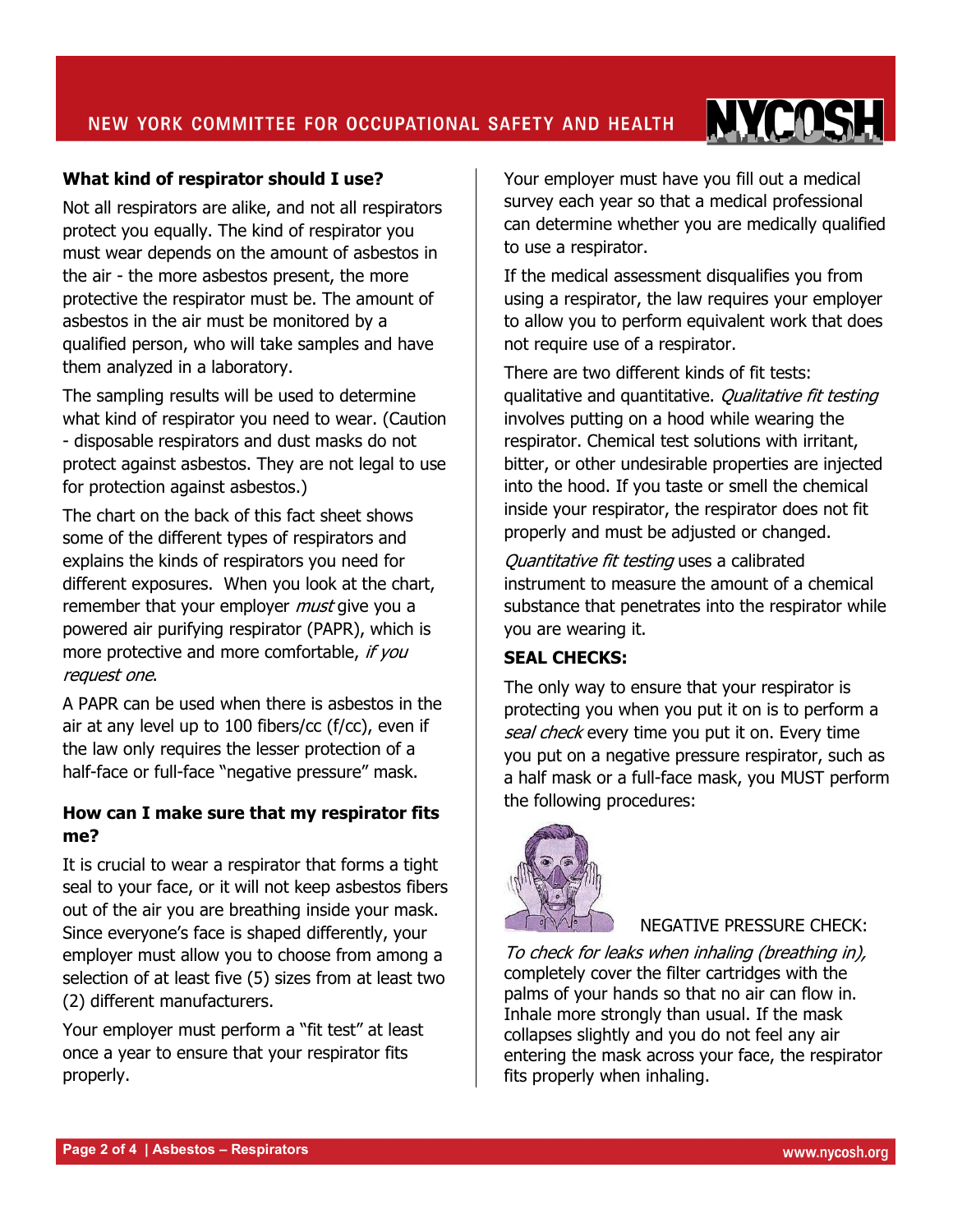#### **What kind of respirator should I use?**

Not all respirators are alike, and not all respirators protect you equally. The kind of respirator you must wear depends on the amount of asbestos in the air - the more asbestos present, the more protective the respirator must be. The amount of asbestos in the air must be monitored by a qualified person, who will take samples and have them analyzed in a laboratory.

The sampling results will be used to determine what kind of respirator you need to wear. (Caution - disposable respirators and dust masks do not protect against asbestos. They are not legal to use for protection against asbestos.)

The chart on the back of this fact sheet shows some of the different types of respirators and explains the kinds of respirators you need for different exposures. When you look at the chart, remember that your employer *must* give you a powered air purifying respirator (PAPR), which is more protective and more comfortable, if you request one.

A PAPR can be used when there is asbestos in the air at any level up to 100 fibers/cc (f/cc), even if the law only requires the lesser protection of a half-face or full-face "negative pressure" mask.

#### **How can I make sure that my respirator fits me?**

It is crucial to wear a respirator that forms a tight seal to your face, or it will not keep asbestos fibers out of the air you are breathing inside your mask. Since everyone's face is shaped differently, your employer must allow you to choose from among a selection of at least five (5) sizes from at least two (2) different manufacturers.

Your employer must perform a "fit test" at least once a year to ensure that your respirator fits properly.

Your employer must have you fill out a medical survey each year so that a medical professional can determine whether you are medically qualified to use a respirator.

**NYCOSH** 

If the medical assessment disqualifies you from using a respirator, the law requires your employer to allow you to perform equivalent work that does not require use of a respirator.

There are two different kinds of fit tests: qualitative and quantitative. *Qualitative fit testing* involves putting on a hood while wearing the respirator. Chemical test solutions with irritant, bitter, or other undesirable properties are injected into the hood. If you taste or smell the chemical inside your respirator, the respirator does not fit properly and must be adjusted or changed.

Quantitative fit testing uses a calibrated instrument to measure the amount of a chemical substance that penetrates into the respirator while you are wearing it.

## **SEAL CHECKS:**

The only way to ensure that your respirator is protecting you when you put it on is to perform a seal check every time you put it on. Every time you put on a negative pressure respirator, such as a half mask or a full-face mask, you MUST perform the following procedures:



#### NEGATIVE PRESSURE CHECK:

To check for leaks when inhaling (breathing in), completely cover the filter cartridges with the palms of your hands so that no air can flow in. Inhale more strongly than usual. If the mask collapses slightly and you do not feel any air entering the mask across your face, the respirator fits properly when inhaling.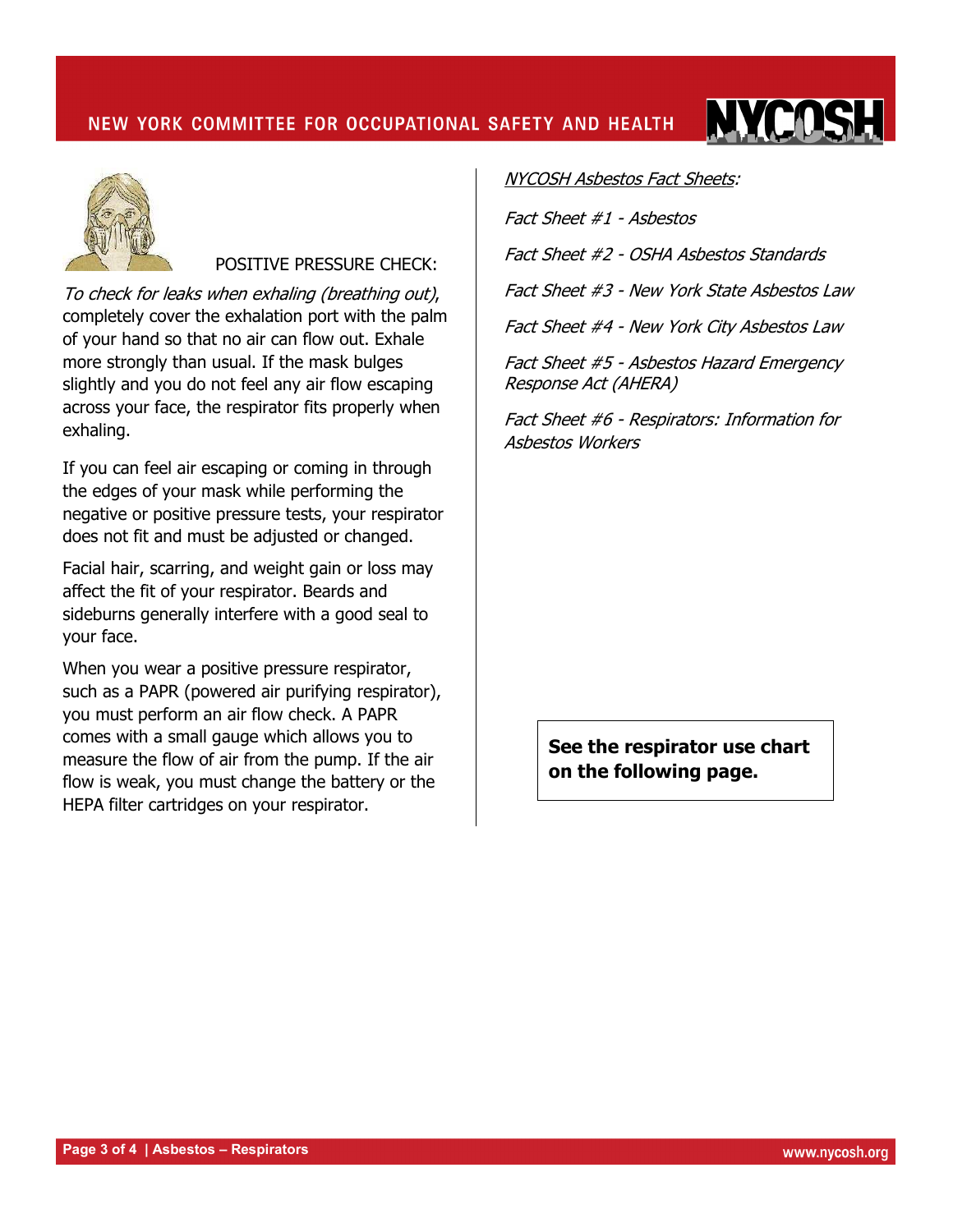## NEW YORK COMMITTEE FOR OCCUPATIONAL SAFETY AND HEALTH



#### POSITIVE PRESSURE CHECK:

To check for leaks when exhaling (breathing out), completely cover the exhalation port with the palm of your hand so that no air can flow out. Exhale more strongly than usual. If the mask bulges slightly and you do not feel any air flow escaping across your face, the respirator fits properly when exhaling.

If you can feel air escaping or coming in through the edges of your mask while performing the negative or positive pressure tests, your respirator does not fit and must be adjusted or changed.

Facial hair, scarring, and weight gain or loss may affect the fit of your respirator. Beards and sideburns generally interfere with a good seal to your face.

When you wear a positive pressure respirator, such as a PAPR (powered air purifying respirator), you must perform an air flow check. A PAPR comes with a small gauge which allows you to measure the flow of air from the pump. If the air flow is weak, you must change the battery or the HEPA filter cartridges on your respirator.

#### NYCOSH Asbestos Fact Sheets:

Fact Sheet #1 - Asbestos

Fact Sheet #2 - OSHA Asbestos Standards

Fact Sheet #3 - New York State Asbestos Law

NVM

Fact Sheet #4 - New York City Asbestos Law

Fact Sheet #5 - Asbestos Hazard Emergency Response Act (AHERA)

Fact Sheet #6 - Respirators: Information for Asbestos Workers

> **See the respirator use chart on the following page.**